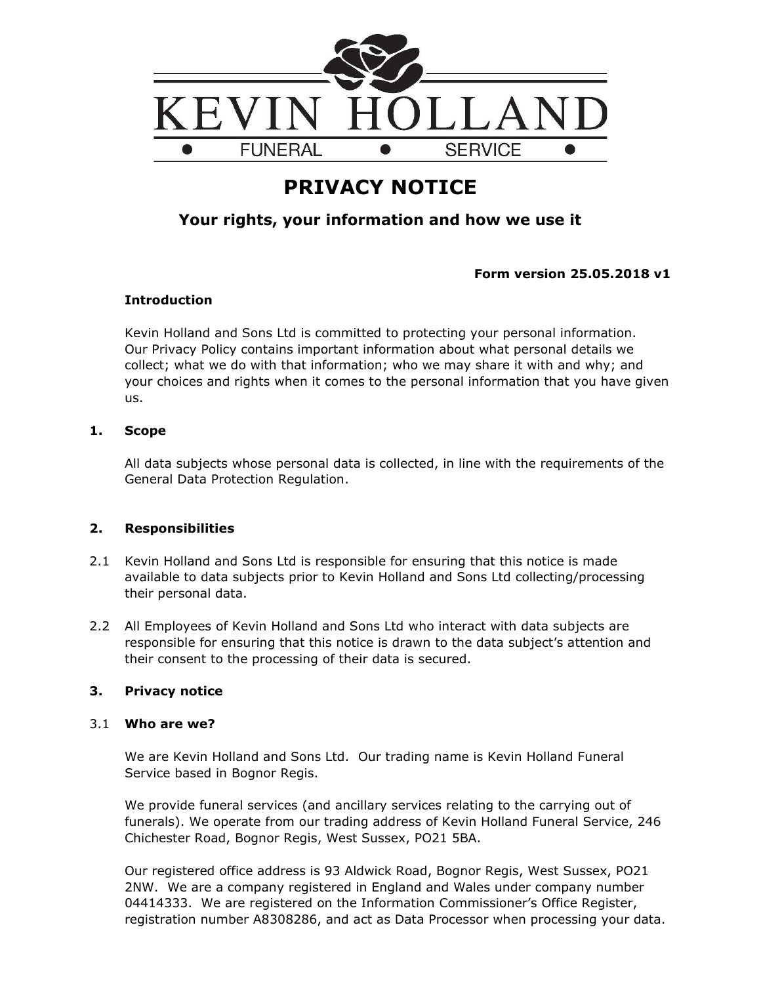

# **PRIVACY NOTICE**

## **Your rights, your information and how we use it**

**Form version 25.05.2018 v1**

## **Introduction**

Kevin Holland and Sons Ltd is committed to protecting your personal information. Our Privacy Policy contains important information about what personal details we collect; what we do with that information; who we may share it with and why; and your choices and rights when it comes to the personal information that you have given us.

## **1. Scope**

All data subjects whose personal data is collected, in line with the requirements of the General Data Protection Regulation.

## **2. Responsibilities**

- 2.1 Kevin Holland and Sons Ltd is responsible for ensuring that this notice is made available to data subjects prior to Kevin Holland and Sons Ltd collecting/processing their personal data.
- 2.2 All Employees of Kevin Holland and Sons Ltd who interact with data subjects are responsible for ensuring that this notice is drawn to the data subject's attention and their consent to the processing of their data is secured.

## **3. Privacy notice**

## 3.1 **Who are we?**

We are Kevin Holland and Sons Ltd. Our trading name is Kevin Holland Funeral Service based in Bognor Regis.

We provide funeral services (and ancillary services relating to the carrying out of funerals). We operate from our trading address of Kevin Holland Funeral Service, 246 Chichester Road, Bognor Regis, West Sussex, PO21 5BA.

Our registered office address is 93 Aldwick Road, Bognor Regis, West Sussex, PO21 2NW. We are a company registered in England and Wales under company number 04414333. We are registered on the Information Commissioner's Office Register, registration number A8308286, and act as Data Processor when processing your data.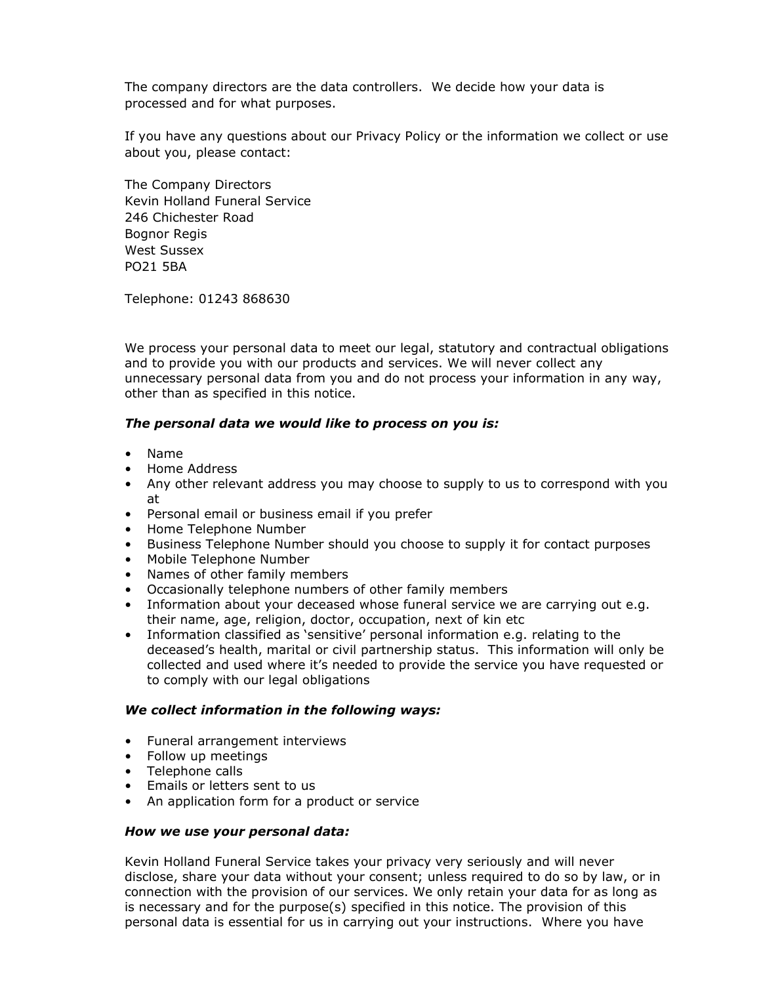The company directors are the data controllers. We decide how your data is processed and for what purposes.

If you have any questions about our Privacy Policy or the information we collect or use about you, please contact:

The Company Directors Kevin Holland Funeral Service 246 Chichester Road Bognor Regis West Sussex PO21 5BA

Telephone: 01243 868630

We process your personal data to meet our legal, statutory and contractual obligations and to provide you with our products and services. We will never collect any unnecessary personal data from you and do not process your information in any way, other than as specified in this notice.

#### *The personal data we would like to process on you is:*

- Name
- Home Address
- Any other relevant address you may choose to supply to us to correspond with you at
- Personal email or business email if you prefer
- Home Telephone Number
- Business Telephone Number should you choose to supply it for contact purposes
- Mobile Telephone Number
- Names of other family members
- Occasionally telephone numbers of other family members
- Information about your deceased whose funeral service we are carrying out e.g. their name, age, religion, doctor, occupation, next of kin etc
- Information classified as 'sensitive' personal information e.g. relating to the deceased's health, marital or civil partnership status. This information will only be collected and used where it's needed to provide the service you have requested or to comply with our legal obligations

#### *We collect information in the following ways:*

- Funeral arrangement interviews
- Follow up meetings
- Telephone calls
- Emails or letters sent to us
- An application form for a product or service

#### *How we use your personal data:*

Kevin Holland Funeral Service takes your privacy very seriously and will never disclose, share your data without your consent; unless required to do so by law, or in connection with the provision of our services. We only retain your data for as long as is necessary and for the purpose(s) specified in this notice. The provision of this personal data is essential for us in carrying out your instructions. Where you have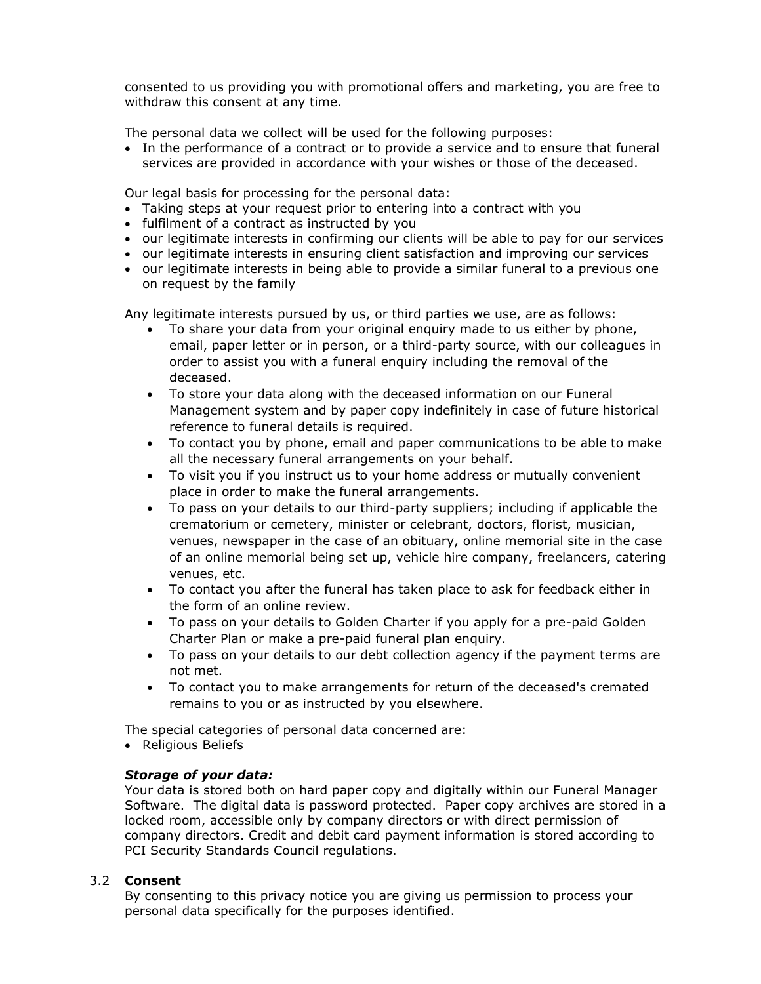consented to us providing you with promotional offers and marketing, you are free to withdraw this consent at any time.

The personal data we collect will be used for the following purposes:

• In the performance of a contract or to provide a service and to ensure that funeral services are provided in accordance with your wishes or those of the deceased.

Our legal basis for processing for the personal data:

- Taking steps at your request prior to entering into a contract with you
- fulfilment of a contract as instructed by you
- our legitimate interests in confirming our clients will be able to pay for our services
- our legitimate interests in ensuring client satisfaction and improving our services
- our legitimate interests in being able to provide a similar funeral to a previous one on request by the family

Any legitimate interests pursued by us, or third parties we use, are as follows:

- To share your data from your original enquiry made to us either by phone, email, paper letter or in person, or a third-party source, with our colleagues in order to assist you with a funeral enquiry including the removal of the deceased.
- To store your data along with the deceased information on our Funeral Management system and by paper copy indefinitely in case of future historical reference to funeral details is required.
- To contact you by phone, email and paper communications to be able to make all the necessary funeral arrangements on your behalf.
- To visit you if you instruct us to your home address or mutually convenient place in order to make the funeral arrangements.
- To pass on your details to our third-party suppliers; including if applicable the crematorium or cemetery, minister or celebrant, doctors, florist, musician, venues, newspaper in the case of an obituary, online memorial site in the case of an online memorial being set up, vehicle hire company, freelancers, catering venues, etc.
- To contact you after the funeral has taken place to ask for feedback either in the form of an online review.
- To pass on your details to Golden Charter if you apply for a pre-paid Golden Charter Plan or make a pre-paid funeral plan enquiry.
- To pass on your details to our debt collection agency if the payment terms are not met.
- To contact you to make arrangements for return of the deceased's cremated remains to you or as instructed by you elsewhere.

The special categories of personal data concerned are:

• Religious Beliefs

## *Storage of your data:*

Your data is stored both on hard paper copy and digitally within our Funeral Manager Software. The digital data is password protected. Paper copy archives are stored in a locked room, accessible only by company directors or with direct permission of company directors. Credit and debit card payment information is stored according to PCI Security Standards Council regulations.

## 3.2 **Consent**

By consenting to this privacy notice you are giving us permission to process your personal data specifically for the purposes identified.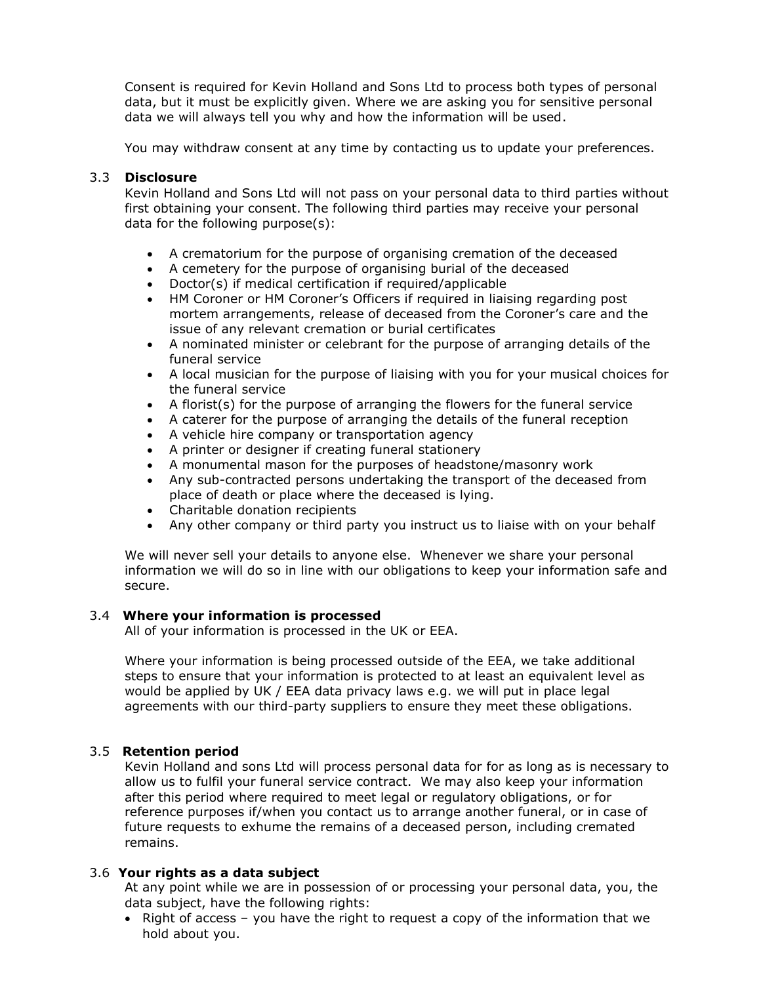Consent is required for Kevin Holland and Sons Ltd to process both types of personal data, but it must be explicitly given. Where we are asking you for sensitive personal data we will always tell you why and how the information will be used.

You may withdraw consent at any time by contacting us to update your preferences.

## 3.3 **Disclosure**

Kevin Holland and Sons Ltd will not pass on your personal data to third parties without first obtaining your consent. The following third parties may receive your personal data for the following purpose(s):

- A crematorium for the purpose of organising cremation of the deceased
- A cemetery for the purpose of organising burial of the deceased
- Doctor(s) if medical certification if required/applicable
- HM Coroner or HM Coroner's Officers if required in liaising regarding post mortem arrangements, release of deceased from the Coroner's care and the issue of any relevant cremation or burial certificates
- A nominated minister or celebrant for the purpose of arranging details of the funeral service
- A local musician for the purpose of liaising with you for your musical choices for the funeral service
- A florist(s) for the purpose of arranging the flowers for the funeral service
- A caterer for the purpose of arranging the details of the funeral reception
- A vehicle hire company or transportation agency
- A printer or designer if creating funeral stationery
- A monumental mason for the purposes of headstone/masonry work
- Any sub-contracted persons undertaking the transport of the deceased from place of death or place where the deceased is lying.
- Charitable donation recipients
- Any other company or third party you instruct us to liaise with on your behalf

We will never sell your details to anyone else. Whenever we share your personal information we will do so in line with our obligations to keep your information safe and secure.

## 3.4 **Where your information is processed**

All of your information is processed in the UK or EEA.

Where your information is being processed outside of the EEA, we take additional steps to ensure that your information is protected to at least an equivalent level as would be applied by UK / EEA data privacy laws e.g. we will put in place legal agreements with our third-party suppliers to ensure they meet these obligations.

## 3.5 **Retention period**

Kevin Holland and sons Ltd will process personal data for for as long as is necessary to allow us to fulfil your funeral service contract. We may also keep your information after this period where required to meet legal or regulatory obligations, or for reference purposes if/when you contact us to arrange another funeral, or in case of future requests to exhume the remains of a deceased person, including cremated remains.

## 3.6 **Your rights as a data subject**

At any point while we are in possession of or processing your personal data, you, the data subject, have the following rights:

• Right of access – you have the right to request a copy of the information that we hold about you.